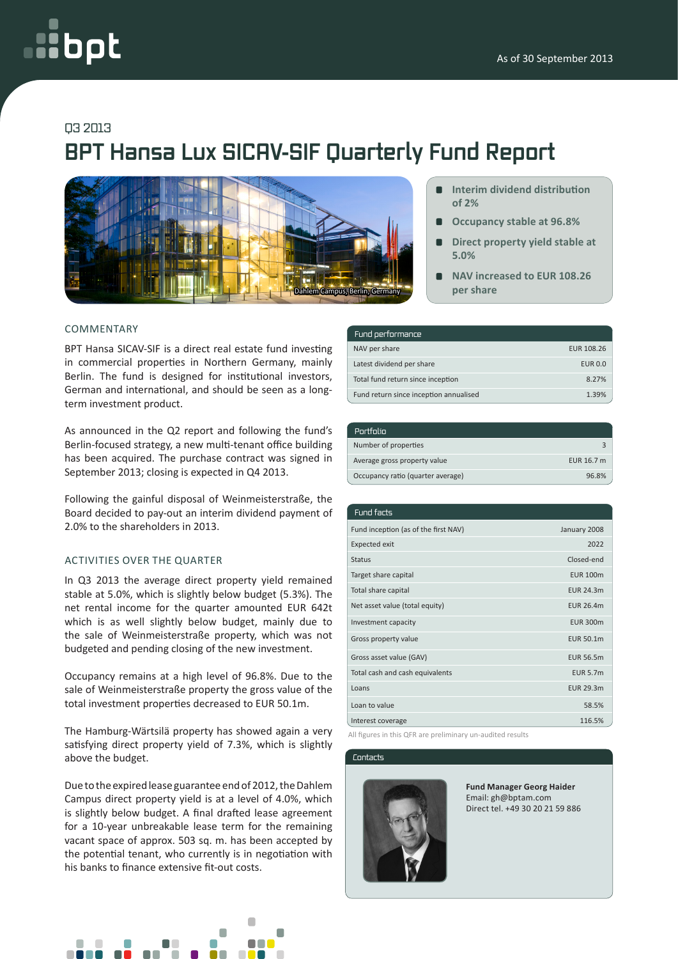# oot

## Q3 2013

# **BPT Hansa Lux SICAV-SIF Quarterly Fund Report**



#### COMMENTARY

BPT Hansa SICAV-SIF is a direct real estate fund investing in commercial properties in Northern Germany, mainly Berlin. The fund is designed for institutional investors, German and international, and should be seen as a longterm investment product.

As announced in the Q2 report and following the fund's Berlin-focused strategy, a new multi-tenant office building has been acquired. The purchase contract was signed in September 2013; closing is expected in Q4 2013.

Following the gainful disposal of Weinmeisterstraße, the Board decided to pay-out an interim dividend payment of 2.0% to the shareholders in 2013.

### ACTIVITIES OVER THE QUARTER

In Q3 2013 the average direct property yield remained stable at 5.0%, which is slightly below budget (5.3%). The net rental income for the quarter amounted EUR 642t which is as well slightly below budget, mainly due to the sale of Weinmeisterstraße property, which was not budgeted and pending closing of the new investment.

Occupancy remains at a high level of 96.8%. Due to the sale of Weinmeisterstraße property the gross value of the total investment properties decreased to EUR 50.1m.

The Hamburg-Wärtsilä property has showed again a very satisfying direct property yield of 7.3%, which is slightly above the budget.

Due to the expired lease guarantee end of 2012, the Dahlem Campus direct property yield is at a level of 4.0%, which is slightly below budget. A final drafted lease agreement for a 10-year unbreakable lease term for the remaining vacant space of approx. 503 sq. m. has been accepted by the potential tenant, who currently is in negotiation with his banks to finance extensive fit-out costs.



- **Interim dividend distribution of 2%**
- **Occupancy stable at 96.8%**  $\blacksquare$
- **Direct property yield stable at 5.0%**
- **NAV increased to EUR 108.26 per share**

| Fund performance                       |                |
|----------------------------------------|----------------|
| NAV per share                          | EUR 108.26     |
| Latest dividend per share              | <b>EUR 0.0</b> |
| Total fund return since inception      | 8.27%          |
| Fund return since inception annualised | 1 39%          |

| Portfolio                         |            |
|-----------------------------------|------------|
| Number of properties              |            |
| Average gross property value      | EUR 16.7 m |
| Occupancy ratio (quarter average) | 96.8%      |

| Fund facts                           |                  |
|--------------------------------------|------------------|
| Fund inception (as of the first NAV) | January 2008     |
| <b>Expected exit</b>                 | 2022             |
| <b>Status</b>                        | Closed-end       |
| Target share capital                 | <b>EUR 100m</b>  |
| Total share capital                  | <b>EUR 24.3m</b> |
| Net asset value (total equity)       | <b>EUR 26.4m</b> |
| Investment capacity                  | <b>EUR 300m</b>  |
| Gross property value                 | EUR 50.1m        |
| Gross asset value (GAV)              | <b>EUR 56.5m</b> |
| Total cash and cash equivalents      | <b>EUR 5.7m</b>  |
| Loans                                | EUR 29.3m        |
| Loan to value                        | 58.5%            |
| Interest coverage                    | 116.5%           |

All figures in this QFR are preliminary un-audited results

#### Contacts



**Fund Manager Georg Haider** Email: gh@bptam.com Direct tel. +49 30 20 21 59 886